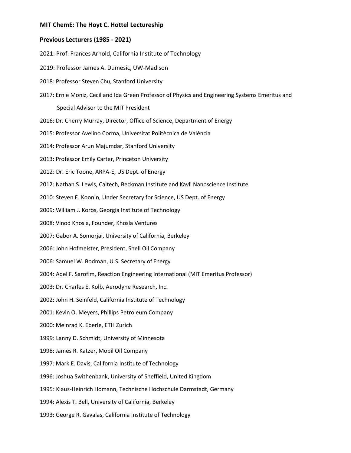## **MIT ChemE: The Hoyt C. Hottel Lectureship**

## **Previous Lecturers (1985 - 2021)**

2021: Prof. Frances Arnold, California Institute of Technology

- 2019: Professor James A. Dumesic, UW-Madison
- 2018: Professor Steven Chu, Stanford University
- 2017: Ernie Moniz, Cecil and Ida Green Professor of Physics and Engineering Systems Emeritus and Special Advisor to the MIT President
- 2016: Dr. Cherry Murray, Director, Office of Science, Department of Energy
- 2015: Professor Avelino Corma, Universitat Politècnica de València
- 2014: Professor Arun Majumdar, Stanford University
- 2013: Professor Emily Carter, Princeton University
- 2012: Dr. Eric Toone, ARPA-E, US Dept. of Energy
- 2012: Nathan S. Lewis, Caltech, Beckman Institute and Kavli Nanoscience Institute
- 2010: Steven E. Koonin, Under Secretary for Science, US Dept. of Energy
- 2009: William J. Koros, Georgia Institute of Technology
- 2008: Vinod Khosla, Founder, Khosla Ventures
- 2007: Gabor A. Somorjai, University of California, Berkeley
- 2006: John Hofmeister, President, Shell Oil Company
- 2006: Samuel W. Bodman, U.S. Secretary of Energy
- 2004: Adel F. Sarofim, Reaction Engineering International (MIT Emeritus Professor)
- 2003: Dr. Charles E. Kolb, Aerodyne Research, Inc.
- 2002: John H. Seinfeld, California Institute of Technology
- 2001: Kevin O. Meyers, Phillips Petroleum Company
- 2000: Meinrad K. Eberle, ETH Zurich
- 1999: Lanny D. Schmidt, University of Minnesota
- 1998: James R. Katzer, Mobil Oil Company
- 1997: Mark E. Davis, California Institute of Technology
- 1996: Joshua Swithenbank, University of Sheffield, United Kingdom
- 1995: Klaus-Heinrich Homann, Technische Hochschule Darmstadt, Germany
- 1994: Alexis T. Bell, University of California, Berkeley
- 1993: George R. Gavalas, California Institute of Technology